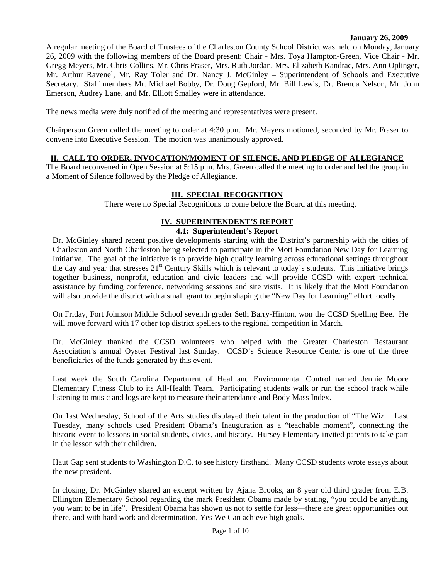#### **January 26, 2009**

A regular meeting of the Board of Trustees of the Charleston County School District was held on Monday, January 26, 2009 with the following members of the Board present: Chair - Mrs. Toya Hampton-Green, Vice Chair - Mr. Gregg Meyers, Mr. Chris Collins, Mr. Chris Fraser, Mrs. Ruth Jordan, Mrs. Elizabeth Kandrac, Mrs. Ann Oplinger, Mr. Arthur Ravenel, Mr. Ray Toler and Dr. Nancy J. McGinley – Superintendent of Schools and Executive Secretary. Staff members Mr. Michael Bobby, Dr. Doug Gepford, Mr. Bill Lewis, Dr. Brenda Nelson, Mr. John Emerson, Audrey Lane, and Mr. Elliott Smalley were in attendance.

The news media were duly notified of the meeting and representatives were present.

Chairperson Green called the meeting to order at 4:30 p.m. Mr. Meyers motioned, seconded by Mr. Fraser to convene into Executive Session. The motion was unanimously approved.

### **II. CALL TO ORDER, INVOCATION/MOMENT OF SILENCE, AND PLEDGE OF ALLEGIANCE**

The Board reconvened in Open Session at 5:15 p.m. Mrs. Green called the meeting to order and led the group in a Moment of Silence followed by the Pledge of Allegiance.

### **III. SPECIAL RECOGNITION**

There were no Special Recognitions to come before the Board at this meeting.

# **IV. SUPERINTENDENT'S REPORT**

# **4.1: Superintendent's Report**

Dr. McGinley shared recent positive developments starting with the District's partnership with the cities of Charleston and North Charleston being selected to participate in the Mott Foundation New Day for Learning Initiative. The goal of the initiative is to provide high quality learning across educational settings throughout the day and year that stresses  $21<sup>st</sup>$  Century Skills which is relevant to today's students. This initiative brings together business, nonprofit, education and civic leaders and will provide CCSD with expert technical assistance by funding conference, networking sessions and site visits. It is likely that the Mott Foundation will also provide the district with a small grant to begin shaping the "New Day for Learning" effort locally.

On Friday, Fort Johnson Middle School seventh grader Seth Barry-Hinton, won the CCSD Spelling Bee. He will move forward with 17 other top district spellers to the regional competition in March.

Dr. McGinley thanked the CCSD volunteers who helped with the Greater Charleston Restaurant Association's annual Oyster Festival last Sunday. CCSD's Science Resource Center is one of the three beneficiaries of the funds generated by this event.

Last week the South Carolina Department of Heal and Environmental Control named Jennie Moore Elementary Fitness Club to its All-Health Team. Participating students walk or run the school track while listening to music and logs are kept to measure their attendance and Body Mass Index.

On 1ast Wednesday, School of the Arts studies displayed their talent in the production of "The Wiz. Last Tuesday, many schools used President Obama's Inauguration as a "teachable moment", connecting the historic event to lessons in social students, civics, and history. Hursey Elementary invited parents to take part in the lesson with their children.

Haut Gap sent students to Washington D.C. to see history firsthand. Many CCSD students wrote essays about the new president.

In closing, Dr. McGinley shared an excerpt written by Ajana Brooks, an 8 year old third grader from E.B. Ellington Elementary School regarding the mark President Obama made by stating, "you could be anything you want to be in life". President Obama has shown us not to settle for less—there are great opportunities out there, and with hard work and determination, Yes We Can achieve high goals.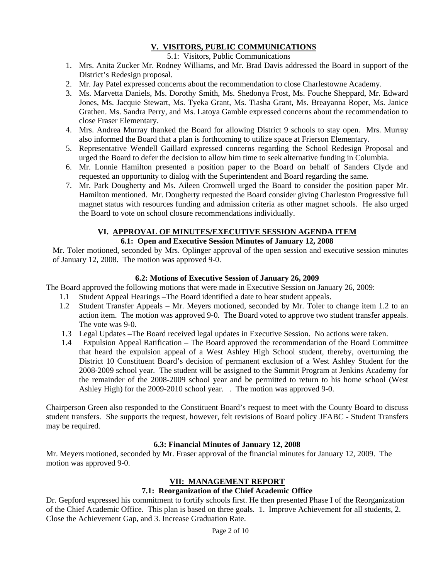# **V. VISITORS, PUBLIC COMMUNICATIONS**

## 5.1: Visitors, Public Communications

- 1. Mrs. Anita Zucker Mr. Rodney Williams, and Mr. Brad Davis addressed the Board in support of the District's Redesign proposal.
- 2. Mr. Jay Patel expressed concerns about the recommendation to close Charlestowne Academy.
- 3. Ms. Marvetta Daniels, Ms. Dorothy Smith, Ms. Shedonya Frost, Ms. Fouche Sheppard, Mr. Edward Jones, Ms. Jacquie Stewart, Ms. Tyeka Grant, Ms. Tiasha Grant, Ms. Breayanna Roper, Ms. Janice Grathen. Ms. Sandra Perry, and Ms. Latoya Gamble expressed concerns about the recommendation to close Fraser Elementary.
- 4. Mrs. Andrea Murray thanked the Board for allowing District 9 schools to stay open. Mrs. Murray also informed the Board that a plan is forthcoming to utilize space at Frierson Elementary.
- 5. Representative Wendell Gaillard expressed concerns regarding the School Redesign Proposal and urged the Board to defer the decision to allow him time to seek alternative funding in Columbia.
- 6. Mr. Lonnie Hamilton presented a position paper to the Board on behalf of Sanders Clyde and requested an opportunity to dialog with the Superintendent and Board regarding the same.
- 7. Mr. Park Dougherty and Ms. Aileen Cromwell urged the Board to consider the position paper Mr. Hamilton mentioned. Mr. Dougherty requested the Board consider giving Charleston Progressive full magnet status with resources funding and admission criteria as other magnet schools. He also urged the Board to vote on school closure recommendations individually.

# **VI. APPROVAL OF MINUTES/EXECUTIVE SESSION AGENDA ITEM**

# **6.1: Open and Executive Session Minutes of January 12, 2008**

Mr. Toler motioned, seconded by Mrs. Oplinger approval of the open session and executive session minutes of January 12, 2008. The motion was approved 9-0.

### **6.2: Motions of Executive Session of January 26, 2009**

The Board approved the following motions that were made in Executive Session on January 26, 2009:

- 1.1 Student Appeal Hearings –The Board identified a date to hear student appeals.
- 1.2 Student Transfer Appeals Mr. Meyers motioned, seconded by Mr. Toler to change item 1.2 to an action item. The motion was approved 9-0. The Board voted to approve two student transfer appeals. The vote was 9-0.
- 1.3 Legal Updates –The Board received legal updates in Executive Session. No actions were taken.
- 1.4 Expulsion Appeal Ratification The Board approved the recommendation of the Board Committee that heard the expulsion appeal of a West Ashley High School student, thereby, overturning the District 10 Constituent Board's decision of permanent exclusion of a West Ashley Student for the 2008-2009 school year. The student will be assigned to the Summit Program at Jenkins Academy for the remainder of the 2008-2009 school year and be permitted to return to his home school (West Ashley High) for the 2009-2010 school year. . The motion was approved 9-0.

Chairperson Green also responded to the Constituent Board's request to meet with the County Board to discuss student transfers. She supports the request, however, felt revisions of Board policy JFABC - Student Transfers may be required.

# **6.3: Financial Minutes of January 12, 2008**

Mr. Meyers motioned, seconded by Mr. Fraser approval of the financial minutes for January 12, 2009. The motion was approved 9-0.

#### **VII: MANAGEMENT REPORT**

# **7.1: Reorganization of the Chief Academic Office**

Dr. Gepford expressed his commitment to fortify schools first. He then presented Phase I of the Reorganization of the Chief Academic Office. This plan is based on three goals. 1. Improve Achievement for all students, 2. Close the Achievement Gap, and 3. Increase Graduation Rate.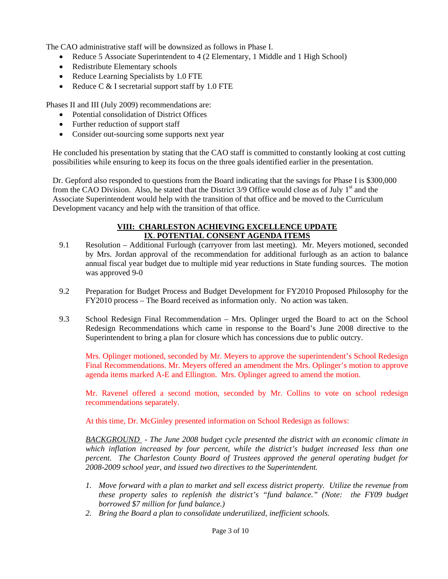The CAO administrative staff will be downsized as follows in Phase I.

- Reduce 5 Associate Superintendent to 4 (2 Elementary, 1 Middle and 1 High School)
- Redistribute Elementary schools
- Reduce Learning Specialists by 1.0 FTE
- Reduce C  $&$  I secretarial support staff by 1.0 FTE

Phases II and III (July 2009) recommendations are:

- Potential consolidation of District Offices
- Further reduction of support staff
- Consider out-sourcing some supports next year

He concluded his presentation by stating that the CAO staff is committed to constantly looking at cost cutting possibilities while ensuring to keep its focus on the three goals identified earlier in the presentation.

Dr. Gepford also responded to questions from the Board indicating that the savings for Phase I is \$300,000 from the CAO Division. Also, he stated that the District 3/9 Office would close as of July 1<sup>st</sup> and the Associate Superintendent would help with the transition of that office and be moved to the Curriculum Development vacancy and help with the transition of that office.

#### **VIII: CHARLESTON ACHIEVING EXCELLENCE UPDATE IX**. **POTENTIAL CONSENT AGENDA ITEMS**

- 9.1 Resolution Additional Furlough (carryover from last meeting). Mr. Meyers motioned, seconded by Mrs. Jordan approval of the recommendation for additional furlough as an action to balance annual fiscal year budget due to multiple mid year reductions in State funding sources. The motion was approved 9-0
- 9.2 Preparation for Budget Process and Budget Development for FY2010 Proposed Philosophy for the FY2010 process – The Board received as information only. No action was taken.
- 9.3 School Redesign Final Recommendation Mrs. Oplinger urged the Board to act on the School Redesign Recommendations which came in response to the Board's June 2008 directive to the Superintendent to bring a plan for closure which has concessions due to public outcry.

Mrs. Oplinger motioned, seconded by Mr. Meyers to approve the superintendent's School Redesign Final Recommendations. Mr. Meyers offered an amendment the Mrs. Oplinger's motion to approve agenda items marked A-E and Ellington. Mrs. Oplinger agreed to amend the motion.

Mr. Ravenel offered a second motion, seconded by Mr. Collins to vote on school redesign recommendations separately.

At this time, Dr. McGinley presented information on School Redesign as follows:

*BACKGROUND - The June 2008 budget cycle presented the district with an economic climate in which inflation increased by four percent, while the district's budget increased less than one percent. The Charleston County Board of Trustees approved the general operating budget for 2008-2009 school year, and issued two directives to the Superintendent.* 

- *1. Move forward with a plan to market and sell excess district property. Utilize the revenue from these property sales to replenish the district's "fund balance." (Note: the FY09 budget borrowed \$7 million for fund balance.)*
- *2. Bring the Board a plan to consolidate underutilized, inefficient schools.*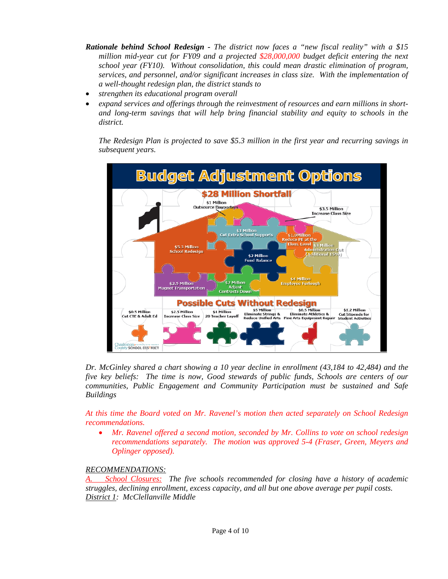- *Rationale behind School Redesign The district now faces a "new fiscal reality" with a \$15 million mid-year cut for FY09 and a projected \$28,000,000 budget deficit entering the next school year (FY10). Without consolidation, this could mean drastic elimination of program, services, and personnel, and/or significant increases in class size. With the implementation of a well-thought redesign plan, the district stands to*
- *strengthen its educational program overall*
- *expand services and offerings through the reinvestment of resources and earn millions in shortand long-term savings that will help bring financial stability and equity to schools in the district.*

*The Redesign Plan is projected to save \$5.3 million in the first year and recurring savings in subsequent years.* 



*Dr. McGinley shared a chart showing a 10 year decline in enrollment (43,184 to 42,484) and the five key beliefs: The time is now, Good stewards of public funds, Schools are centers of our communities, Public Engagement and Community Participation must be sustained and Safe Buildings* 

*At this time the Board voted on Mr. Ravenel's motion then acted separately on School Redesign recommendations.* 

 *Mr. Ravenel offered a second motion, seconded by Mr. Collins to vote on school redesign recommendations separately. The motion was approved 5-4 (Fraser, Green, Meyers and Oplinger opposed).* 

# *RECOMMENDATIONS:*

*School Closures: The five schools recommended for closing have a history of academic struggles, declining enrollment, excess capacity, and all but one above average per pupil costs. District 1: McClellanville Middle*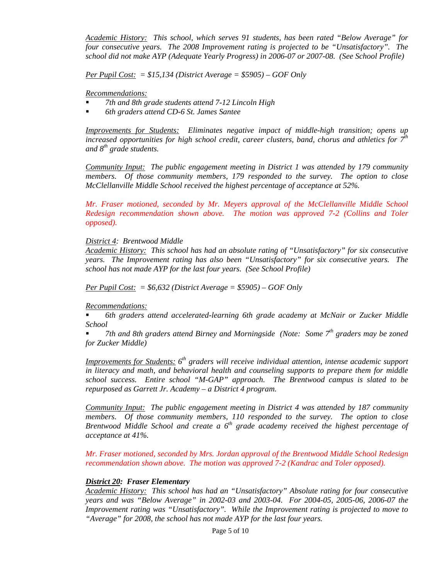*Academic History: This school, which serves 91 students, has been rated "Below Average" for four consecutive years. The 2008 Improvement rating is projected to be "Unsatisfactory". The school did not make AYP (Adequate Yearly Progress) in 2006-07 or 2007-08. (See School Profile)* 

*Per Pupil Cost: = \$15,134 (District Average = \$5905) – GOF Only* 

*Recommendations:* 

- *7th and 8th grade students attend 7-12 Lincoln High*
- *6th graders attend CD-6 St. James Santee*

*Improvements for Students: Eliminates negative impact of middle-high transition; opens up increased opportunities for high school credit, career clusters, band, chorus and athletics for 7th and 8th grade students.* 

*Community Input: The public engagement meeting in District 1 was attended by 179 community members. Of those community members, 179 responded to the survey. The option to close McClellanville Middle School received the highest percentage of acceptance at 52%.* 

*Mr. Fraser motioned, seconded by Mr. Meyers approval of the McClellanville Middle School Redesign recommendation shown above. The motion was approved 7-2 (Collins and Toler opposed).* 

#### *District 4: Brentwood Middle*

*Academic History: This school has had an absolute rating of "Unsatisfactory" for six consecutive years. The Improvement rating has also been "Unsatisfactory" for six consecutive years. The school has not made AYP for the last four years. (See School Profile)* 

*Per Pupil Cost: = \$6,632 (District Average = \$5905) – GOF Only* 

#### *Recommendations:*

 *6th graders attend accelerated-learning 6th grade academy at McNair or Zucker Middle School* 

 *7th and 8th graders attend Birney and Morningside (Note: Some 7th graders may be zoned for Zucker Middle)* 

*Improvements for Students: 6th graders will receive individual attention, intense academic support in literacy and math, and behavioral health and counseling supports to prepare them for middle school success. Entire school "M-GAP" approach. The Brentwood campus is slated to be repurposed as Garrett Jr. Academy – a District 4 program.* 

*Community Input: The public engagement meeting in District 4 was attended by 187 community members. Of those community members, 110 responded to the survey. The option to close Brentwood Middle School and create a 6th grade academy received the highest percentage of acceptance at 41%.* 

*Mr. Fraser motioned, seconded by Mrs. Jordan approval of the Brentwood Middle School Redesign recommendation shown above. The motion was approved 7-2 (Kandrac and Toler opposed).* 

#### *District 20: Fraser Elementary*

*Academic History: This school has had an "Unsatisfactory" Absolute rating for four consecutive years and was "Below Average" in 2002-03 and 2003-04. For 2004-05, 2005-06, 2006-07 the Improvement rating was "Unsatisfactory". While the Improvement rating is projected to move to "Average" for 2008, the school has not made AYP for the last four years.*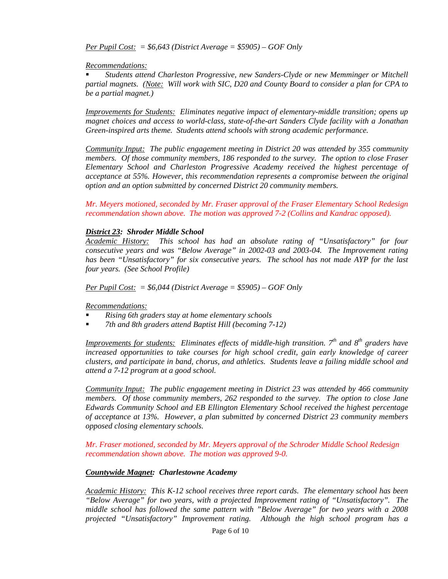*Per Pupil Cost: = \$6,643 (District Average = \$5905) – GOF Only* 

#### *Recommendations:*

 *Students attend Charleston Progressive, new Sanders-Clyde or new Memminger or Mitchell partial magnets. (Note: Will work with SIC, D20 and County Board to consider a plan for CPA to be a partial magnet.)* 

*Improvements for Students: Eliminates negative impact of elementary-middle transition; opens up magnet choices and access to world-class, state-of-the-art Sanders Clyde facility with a Jonathan Green-inspired arts theme. Students attend schools with strong academic performance.* 

*Community Input: The public engagement meeting in District 20 was attended by 355 community members. Of those community members, 186 responded to the survey. The option to close Fraser Elementary School and Charleston Progressive Academy received the highest percentage of acceptance at 55%. However, this recommendation represents a compromise between the original option and an option submitted by concerned District 20 community members.* 

*Mr. Meyers motioned, seconded by Mr. Fraser approval of the Fraser Elementary School Redesign recommendation shown above. The motion was approved 7-2 (Collins and Kandrac opposed).* 

#### *District 23: Shroder Middle School*

*Academic History: This school has had an absolute rating of "Unsatisfactory" for four consecutive years and was "Below Average" in 2002-03 and 2003-04. The Improvement rating has been "Unsatisfactory" for six consecutive years. The school has not made AYP for the last four years. (See School Profile)* 

*Per Pupil Cost: = \$6,044 (District Average = \$5905) – GOF Only* 

*Recommendations:*

- *Rising 6th graders stay at home elementary schools*
- *7th and 8th graders attend Baptist Hill (becoming 7-12)*

*Improvements for students:* Eliminates effects of middle-high transition. 7<sup>th</sup> and 8<sup>th</sup> graders have *increased opportunities to take courses for high school credit, gain early knowledge of career clusters, and participate in band, chorus, and athletics. Students leave a failing middle school and attend a 7-12 program at a good school.* 

*Community Input: The public engagement meeting in District 23 was attended by 466 community members. Of those community members, 262 responded to the survey. The option to close Jane Edwards Community School and EB Ellington Elementary School received the highest percentage of acceptance at 13%. However, a plan submitted by concerned District 23 community members opposed closing elementary schools.* 

*Mr. Fraser motioned, seconded by Mr. Meyers approval of the Schroder Middle School Redesign recommendation shown above. The motion was approved 9-0.* 

#### *Countywide Magnet: Charlestowne Academy*

*Academic History: This K-12 school receives three report cards. The elementary school has been "Below Average" for two years, with a projected Improvement rating of "Unsatisfactory". The middle school has followed the same pattern with "Below Average" for two years with a 2008 projected "Unsatisfactory" Improvement rating. Although the high school program has a*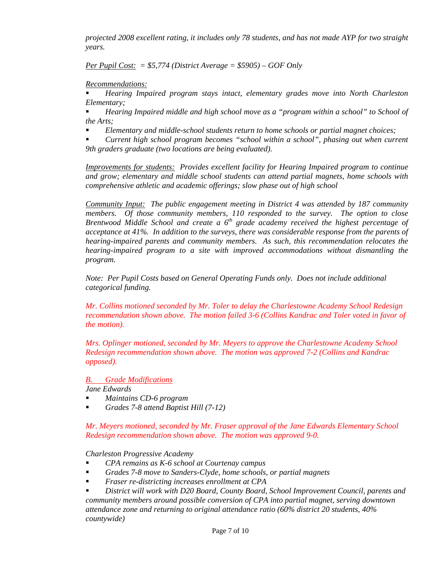*projected 2008 excellent rating, it includes only 78 students, and has not made AYP for two straight years.* 

*Per Pupil Cost: = \$5,774 (District Average = \$5905) – GOF Only* 

*Recommendations:*

 *Hearing Impaired program stays intact, elementary grades move into North Charleston Elementary;* 

 *Hearing Impaired middle and high school move as a "program within a school" to School of the Arts;* 

*Elementary and middle-school students return to home schools or partial magnet choices;* 

 *Current high school program becomes "school within a school", phasing out when current 9th graders graduate (two locations are being evaluated).* 

*Improvements for students: Provides excellent facility for Hearing Impaired program to continue and grow; elementary and middle school students can attend partial magnets, home schools with comprehensive athletic and academic offerings; slow phase out of high school* 

*Community Input: The public engagement meeting in District 4 was attended by 187 community members. Of those community members, 110 responded to the survey. The option to close Brentwood Middle School and create a 6<sup>th</sup> grade academy received the highest percentage of acceptance at 41%. In addition to the surveys, there was considerable response from the parents of hearing-impaired parents and community members. As such, this recommendation relocates the hearing-impaired program to a site with improved accommodations without dismantling the program.* 

*Note: Per Pupil Costs based on General Operating Funds only. Does not include additional categorical funding.* 

*Mr. Collins motioned seconded by Mr. Toler to delay the Charlestowne Academy School Redesign recommendation shown above. The motion failed 3-6 (Collins Kandrac and Toler voted in favor of the motion).* 

*Mrs. Oplinger motioned, seconded by Mr. Meyers to approve the Charlestowne Academy School Redesign recommendation shown above. The motion was approved 7-2 (Collins and Kandrac opposed).* 

*B. Grade Modifications*

*Jane Edwards* 

- *Maintains CD-6 program*
- *Grades 7-8 attend Baptist Hill (7-12)*

*Mr. Meyers motioned, seconded by Mr. Fraser approval of the Jane Edwards Elementary School Redesign recommendation shown above. The motion was approved 9-0.* 

*Charleston Progressive Academy* 

- *CPA remains as K-6 school at Courtenay campus*
- *Grades 7-8 move to Sanders-Clyde, home schools, or partial magnets*
- *Fraser re-districting increases enrollment at CPA*

 *District will work with D20 Board, County Board, School Improvement Council, parents and community members around possible conversion of CPA into partial magnet, serving downtown attendance zone and returning to original attendance ratio (60% district 20 students, 40% countywide)*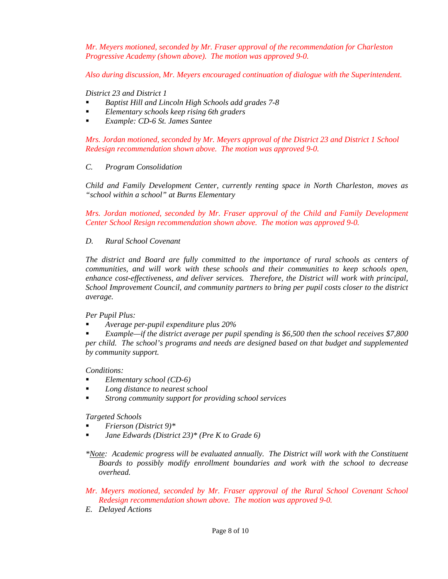*Mr. Meyers motioned, seconded by Mr. Fraser approval of the recommendation for Charleston Progressive Academy (shown above). The motion was approved 9-0.* 

*Also during discussion, Mr. Meyers encouraged continuation of dialogue with the Superintendent.* 

*District 23 and District 1* 

- *Baptist Hill and Lincoln High Schools add grades 7-8*
- *Elementary schools keep rising 6th graders*
- *Example: CD-6 St. James Santee*

*Mrs. Jordan motioned, seconded by Mr. Meyers approval of the District 23 and District 1 School Redesign recommendation shown above. The motion was approved 9-0.* 

#### *C. Program Consolidation*

*Child and Family Development Center, currently renting space in North Charleston, moves as "school within a school" at Burns Elementary* 

*Mrs. Jordan motioned, seconded by Mr. Fraser approval of the Child and Family Development Center School Resign recommendation shown above. The motion was approved 9-0.* 

#### *D. Rural School Covenant*

*The district and Board are fully committed to the importance of rural schools as centers of communities, and will work with these schools and their communities to keep schools open, enhance cost-effectiveness, and deliver services. Therefore, the District will work with principal, School Improvement Council, and community partners to bring per pupil costs closer to the district average.* 

*Per Pupil Plus:* 

*Average per-pupil expenditure plus 20%* 

 *Example—if the district average per pupil spending is \$6,500 then the school receives \$7,800 per child. The school's programs and needs are designed based on that budget and supplemented by community support.* 

*Conditions:* 

- *Elementary school (CD-6)*
- *Long distance to nearest school*
- *Strong community support for providing school services*

*Targeted Schools* 

- *Frierson (District 9)\**
- *Jane Edwards (District 23)\* (Pre K to Grade 6)*

*\*Note: Academic progress will be evaluated annually. The District will work with the Constituent Boards to possibly modify enrollment boundaries and work with the school to decrease overhead.* 

- *Mr. Meyers motioned, seconded by Mr. Fraser approval of the Rural School Covenant School Redesign recommendation shown above. The motion was approved 9-0.*
- *E. Delayed Actions*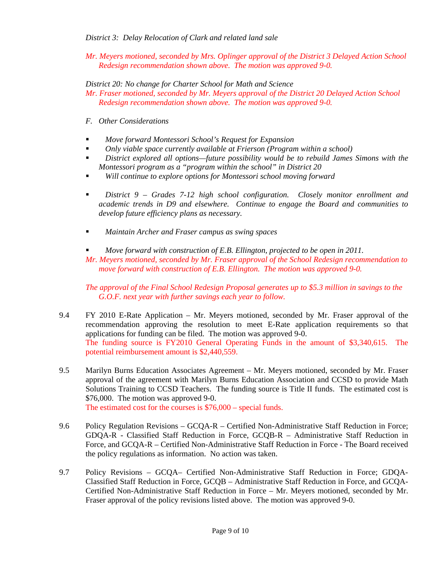# *District 3: Delay Relocation of Clark and related land sale*

*Mr. Meyers motioned, seconded by Mrs. Oplinger approval of the District 3 Delayed Action School Redesign recommendation shown above. The motion was approved 9-0.* 

*District 20: No change for Charter School for Math and Science* 

- *Mr. Fraser motioned, seconded by Mr. Meyers approval of the District 20 Delayed Action School Redesign recommendation shown above. The motion was approved 9-0.*
- *F. Other Considerations*
- *Move forward Montessori School's Request for Expansion*
- *Only viable space currently available at Frierson (Program within a school)*
- *District explored all options—future possibility would be to rebuild James Simons with the Montessori program as a "program within the school" in District 20*
- *Will continue to explore options for Montessori school moving forward*
- *District 9 Grades 7-12 high school configuration. Closely monitor enrollment and academic trends in D9 and elsewhere. Continue to engage the Board and communities to develop future efficiency plans as necessary.*
- *Maintain Archer and Fraser campus as swing spaces*
- *Move forward with construction of E.B. Ellington, projected to be open in 2011.*

*Mr. Meyers motioned, seconded by Mr. Fraser approval of the School Redesign recommendation to move forward with construction of E.B. Ellington. The motion was approved 9-0.* 

*The approval of the Final School Redesign Proposal generates up to \$5.3 million in savings to the G.O.F. next year with further savings each year to follow.* 

- 9.4 FY 2010 E-Rate Application Mr. Meyers motioned, seconded by Mr. Fraser approval of the recommendation approving the resolution to meet E-Rate application requirements so that applications for funding can be filed. The motion was approved 9-0. The funding source is FY2010 General Operating Funds in the amount of \$3,340,615. The potential reimbursement amount is \$2,440,559.
- 9.5 Marilyn Burns Education Associates Agreement Mr. Meyers motioned, seconded by Mr. Fraser approval of the agreement with Marilyn Burns Education Association and CCSD to provide Math Solutions Training to CCSD Teachers. The funding source is Title II funds. The estimated cost is \$76,000. The motion was approved 9-0. The estimated cost for the courses is \$76,000 – special funds.
	-
- 9.6 Policy Regulation Revisions GCQA-R Certified Non-Administrative Staff Reduction in Force; GDQA-R - Classified Staff Reduction in Force, GCQB-R – Administrative Staff Reduction in Force, and GCQA-R – Certified Non-Administrative Staff Reduction in Force - The Board received the policy regulations as information. No action was taken.
- 9.7 Policy Revisions GCQA– Certified Non-Administrative Staff Reduction in Force; GDQA-Classified Staff Reduction in Force, GCQB – Administrative Staff Reduction in Force, and GCQA-Certified Non-Administrative Staff Reduction in Force – Mr. Meyers motioned, seconded by Mr. Fraser approval of the policy revisions listed above. The motion was approved 9-0.